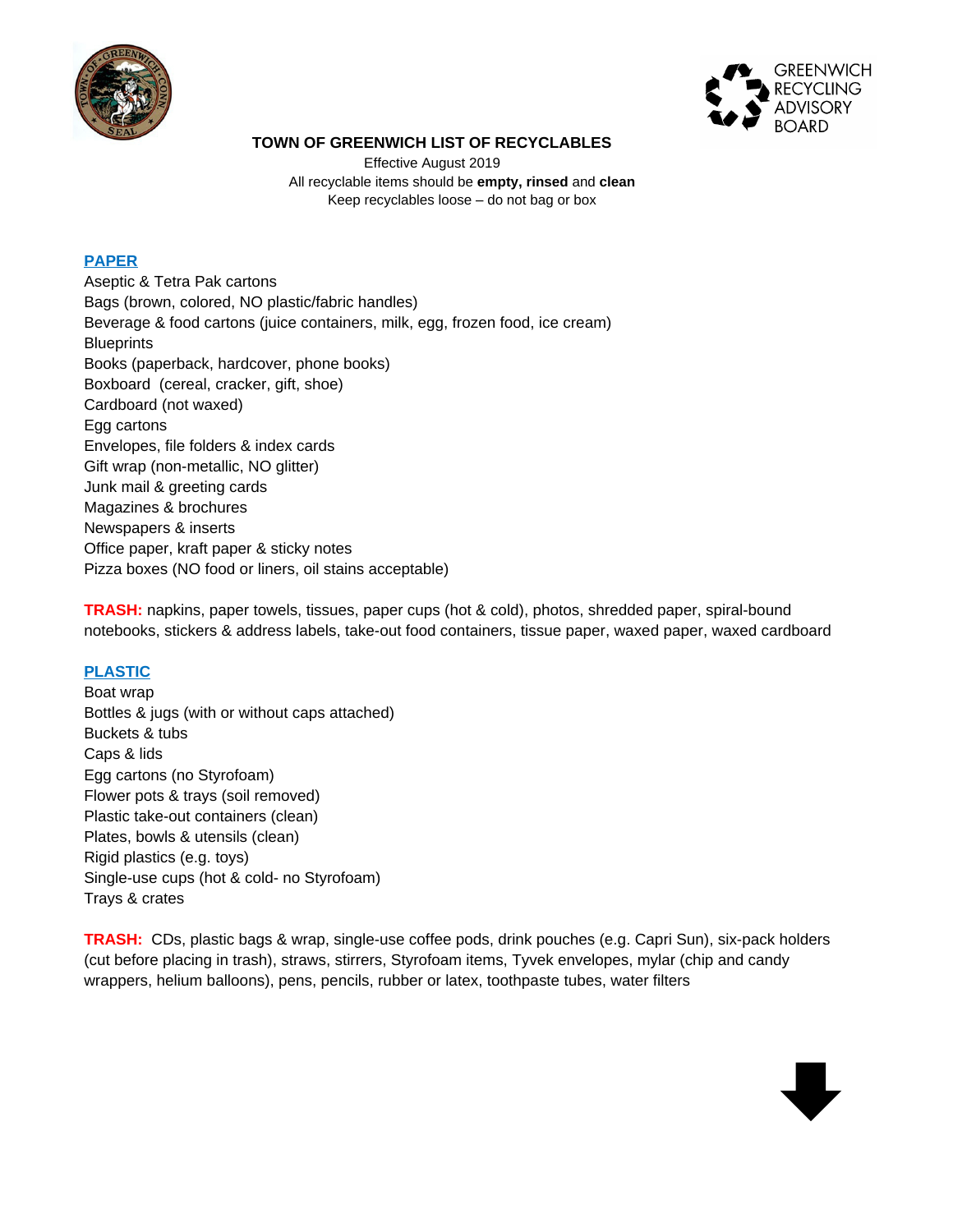



# **TOWN OF GREENWICH LIST OF RECYCLABLES**

Effective August 2019 All recyclable items should be **empty, rinsed** and **clean** Keep recyclables loose – do not bag or box

# **PAPER**

Aseptic & Tetra Pak cartons Bags (brown, colored, NO plastic/fabric handles) Beverage & food cartons (juice containers, milk, egg, frozen food, ice cream) **Blueprints** Books (paperback, hardcover, phone books) Boxboard (cereal, cracker, gift, shoe) Cardboard (not waxed) Egg cartons Envelopes, file folders & index cards Gift wrap (non-metallic, NO glitter) Junk mail & greeting cards Magazines & brochures Newspapers & inserts Office paper, kraft paper & sticky notes Pizza boxes (NO food or liners, oil stains acceptable)

**TRASH:** napkins, paper towels, tissues, paper cups (hot & cold), photos, shredded paper, spiral-bound notebooks, stickers & address labels, take-out food containers, tissue paper, waxed paper, waxed cardboard

# **PLASTIC**

Boat wrap Bottles & jugs (with or without caps attached) Buckets & tubs Caps & lids Egg cartons (no Styrofoam) Flower pots & trays (soil removed) Plastic take-out containers (clean) Plates, bowls & utensils (clean) Rigid plastics (e.g. toys) Single-use cups (hot & cold- no Styrofoam) Trays & crates

**TRASH:** CDs, plastic bags & wrap, single-use coffee pods, drink pouches (e.g. Capri Sun), six-pack holders (cut before placing in trash), straws, stirrers, Styrofoam items, Tyvek envelopes, mylar (chip and candy wrappers, helium balloons), pens, pencils, rubber or latex, toothpaste tubes, water filters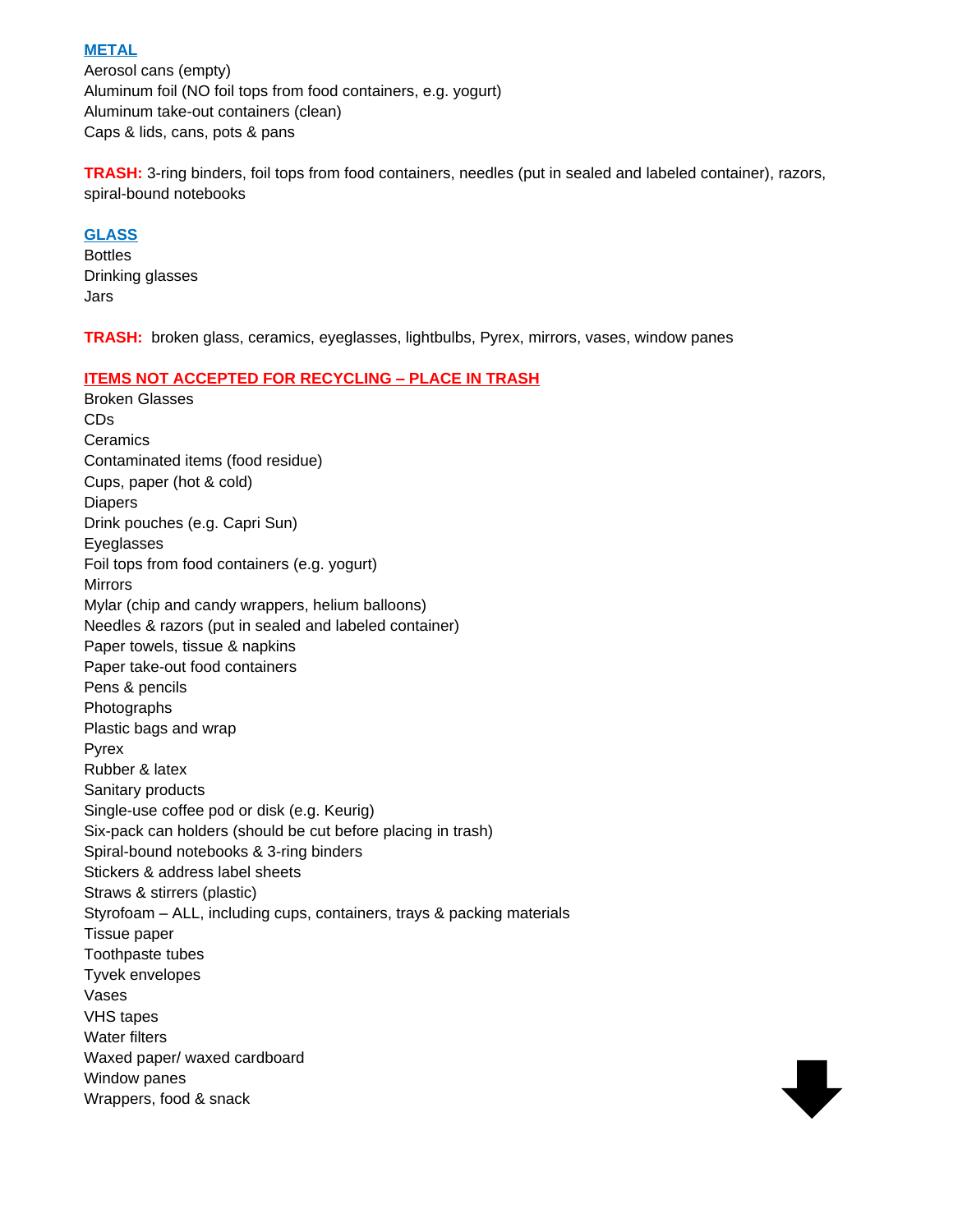### **METAL**

Aerosol cans (empty) Aluminum foil (NO foil tops from food containers, e.g. yogurt) Aluminum take-out containers (clean) Caps & lids, cans, pots & pans

**TRASH:** 3-ring binders, foil tops from food containers, needles (put in sealed and labeled container), razors, spiral-bound notebooks

W

### **GLASS**

Bottles Drinking glasses Jars

**TRASH:** broken glass, ceramics, eyeglasses, lightbulbs, Pyrex, mirrors, vases, window panes

#### **ITEMS NOT ACCEPTED FOR RECYCLING – PLACE IN TRASH**

Broken Glasses CDs **Ceramics** Contaminated items (food residue) Cups, paper (hot & cold) Diapers Drink pouches (e.g. Capri Sun) Eyeglasses Foil tops from food containers (e.g. yogurt) Mirrors Mylar (chip and candy wrappers, helium balloons) Needles & razors (put in sealed and labeled container) Paper towels, tissue & napkins Paper take-out food containers Pens & pencils Photographs Plastic bags and wrap Pyrex Rubber & latex Sanitary products Single-use coffee pod or disk (e.g. Keurig) Six-pack can holders (should be cut before placing in trash) Spiral-bound notebooks & 3-ring binders Stickers & address label sheets Straws & stirrers (plastic) Styrofoam – ALL, including cups, containers, trays & packing materials Tissue paper Toothpaste tubes Tyvek envelopes Vases VHS tapes Water filters Waxed paper/ waxed cardboard Window panes Wrappers, food & snack